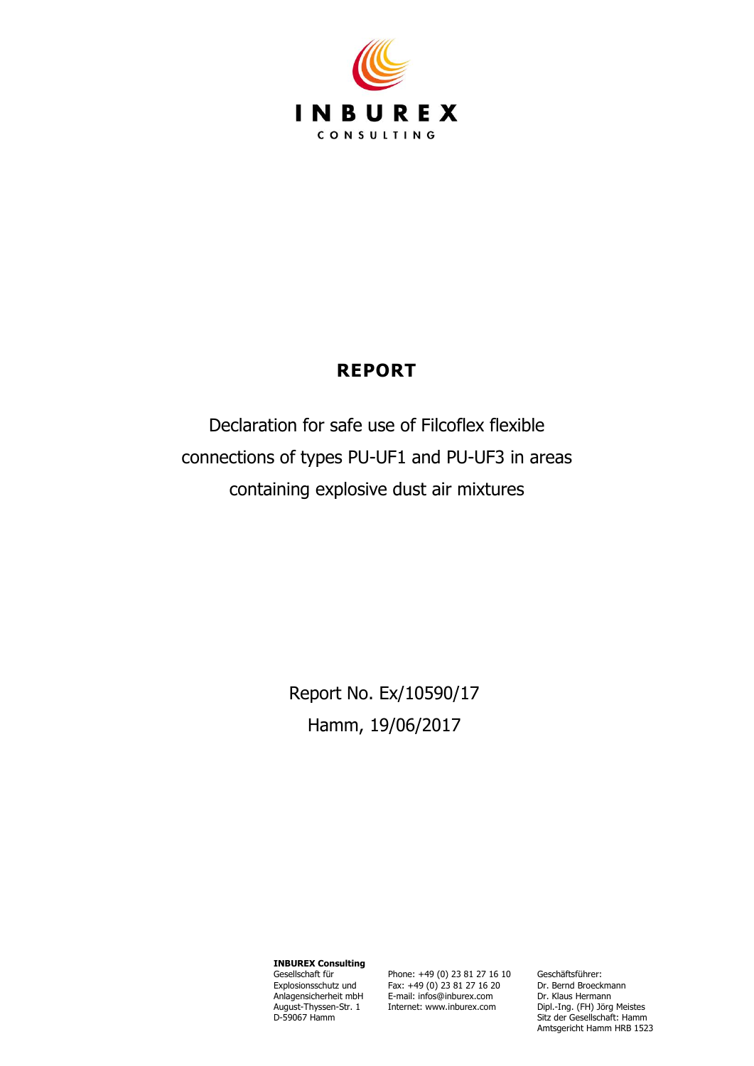

# **REPORT**

Declaration for safe use of Filcoflex flexible connections of types PU-UF1 and PU-UF3 in areas containing explosive dust air mixtures

> Report No. Ex/10590/17 Hamm, 19/06/2017

**INBUREX Consulting** Gesellschaft für Explosionsschutz und Anlagensicherheit mbH August-Thyssen-Str. 1 D-59067 Hamm

Phone: +49 (0) 23 81 27 16 10 Fax: +49 (0) 23 81 27 16 20 E-mail: infos@inburex.com Internet: www.inburex.com

Geschäftsführer: Dr. Bernd Broeckmann Dr. Klaus Hermann Dipl.-Ing. (FH) Jörg Meistes Sitz der Gesellschaft: Hamm Amtsgericht Hamm HRB 1523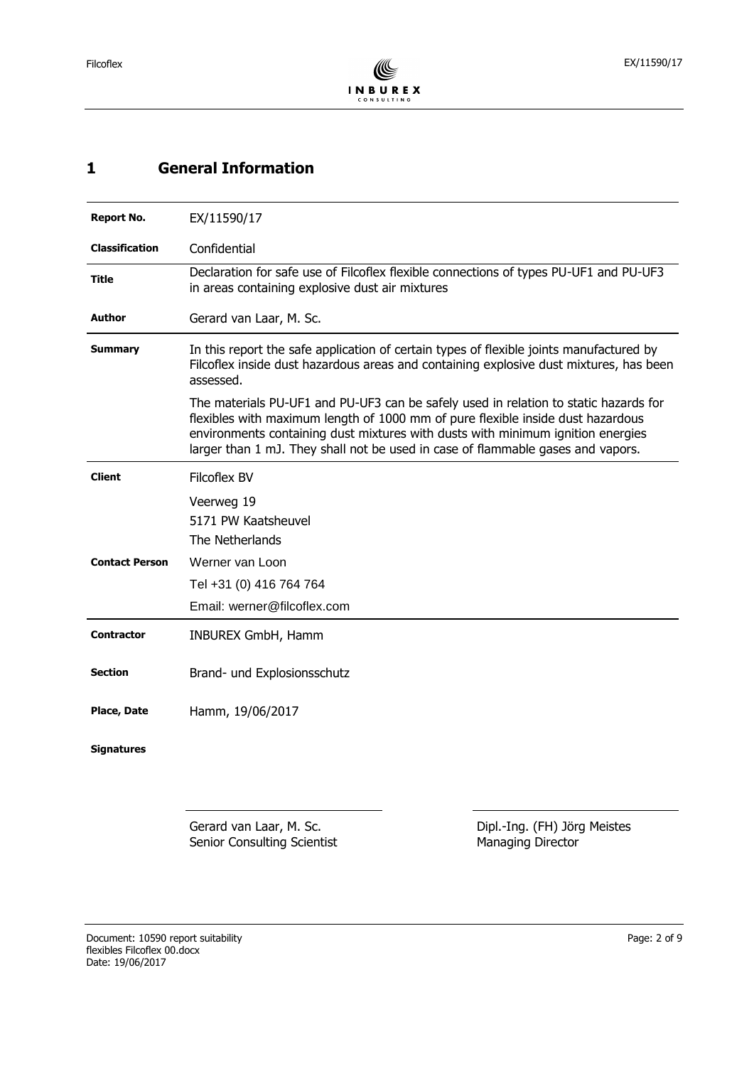# <span id="page-1-0"></span>**1 General Information**

| <b>Report No.</b>     | EX/11590/17                                                                                                                                                                                                                                                                                                                                   |  |  |
|-----------------------|-----------------------------------------------------------------------------------------------------------------------------------------------------------------------------------------------------------------------------------------------------------------------------------------------------------------------------------------------|--|--|
| <b>Classification</b> | Confidential                                                                                                                                                                                                                                                                                                                                  |  |  |
| Title                 | Declaration for safe use of Filcoflex flexible connections of types PU-UF1 and PU-UF3<br>in areas containing explosive dust air mixtures                                                                                                                                                                                                      |  |  |
| <b>Author</b>         | Gerard van Laar, M. Sc.                                                                                                                                                                                                                                                                                                                       |  |  |
| <b>Summary</b>        | In this report the safe application of certain types of flexible joints manufactured by<br>Filcoflex inside dust hazardous areas and containing explosive dust mixtures, has been<br>assessed.                                                                                                                                                |  |  |
|                       | The materials PU-UF1 and PU-UF3 can be safely used in relation to static hazards for<br>flexibles with maximum length of 1000 mm of pure flexible inside dust hazardous<br>environments containing dust mixtures with dusts with minimum ignition energies<br>larger than 1 mJ. They shall not be used in case of flammable gases and vapors. |  |  |
| <b>Client</b>         | <b>Filcoflex BV</b>                                                                                                                                                                                                                                                                                                                           |  |  |
|                       | Veerweg 19                                                                                                                                                                                                                                                                                                                                    |  |  |
|                       | 5171 PW Kaatsheuvel<br>The Netherlands                                                                                                                                                                                                                                                                                                        |  |  |
| <b>Contact Person</b> | Werner van Loon                                                                                                                                                                                                                                                                                                                               |  |  |
|                       | Tel +31 (0) 416 764 764                                                                                                                                                                                                                                                                                                                       |  |  |
|                       | Email: werner@filcoflex.com                                                                                                                                                                                                                                                                                                                   |  |  |
| <b>Contractor</b>     | INBUREX GmbH, Hamm                                                                                                                                                                                                                                                                                                                            |  |  |
|                       |                                                                                                                                                                                                                                                                                                                                               |  |  |
| <b>Section</b>        | Brand- und Explosionsschutz                                                                                                                                                                                                                                                                                                                   |  |  |
| <b>Place, Date</b>    | Hamm, 19/06/2017                                                                                                                                                                                                                                                                                                                              |  |  |
| <b>Signatures</b>     |                                                                                                                                                                                                                                                                                                                                               |  |  |

Gerard van Laar, M. Sc. Senior Consulting Scientist Dipl.-Ing. (FH) Jörg Meistes Managing Director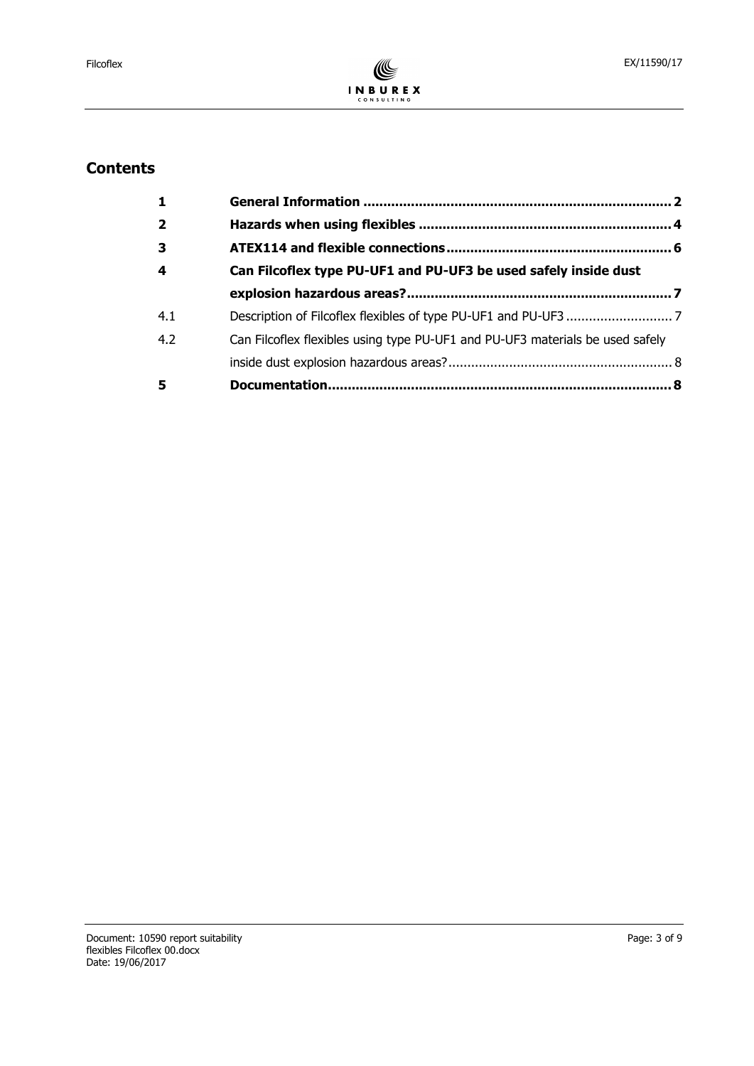

# **Contents**

| $\mathbf{1}$            |                                                                               |  |  |
|-------------------------|-------------------------------------------------------------------------------|--|--|
| $\overline{2}$          |                                                                               |  |  |
| $\overline{\mathbf{3}}$ |                                                                               |  |  |
| $\boldsymbol{4}$        | Can Filcoflex type PU-UF1 and PU-UF3 be used safely inside dust               |  |  |
|                         |                                                                               |  |  |
| 4.1                     |                                                                               |  |  |
| 4.2                     | Can Filcoflex flexibles using type PU-UF1 and PU-UF3 materials be used safely |  |  |
|                         |                                                                               |  |  |
| 5                       |                                                                               |  |  |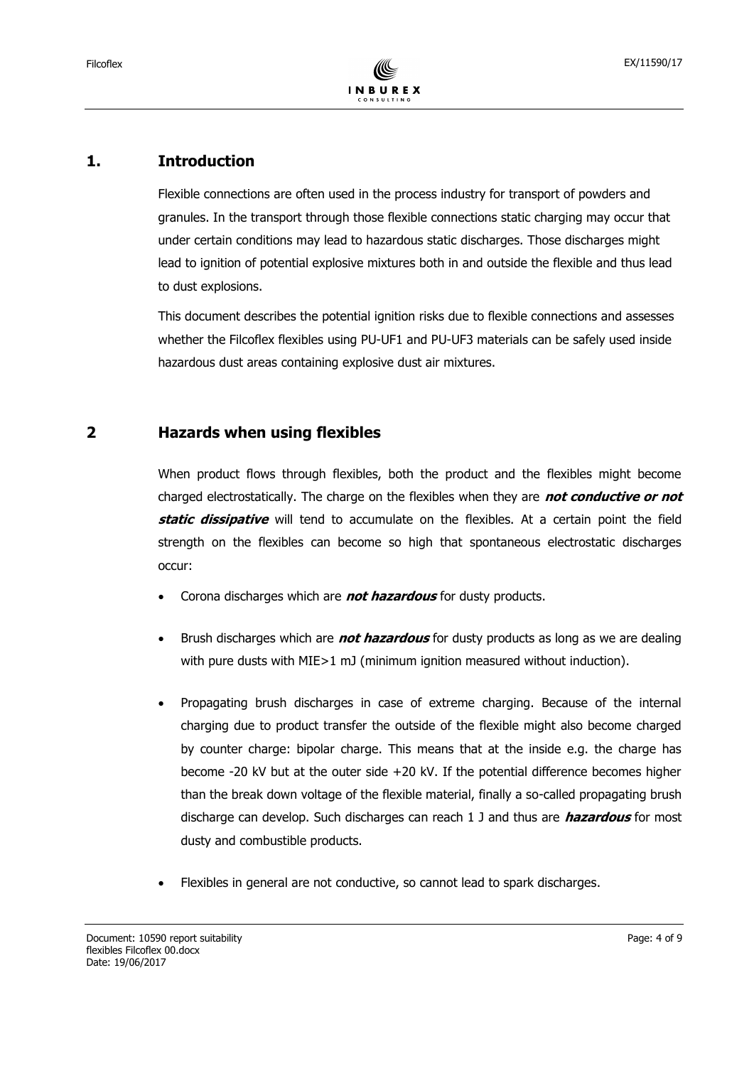### **1. Introduction**

Flexible connections are often used in the process industry for transport of powders and granules. In the transport through those flexible connections static charging may occur that under certain conditions may lead to hazardous static discharges. Those discharges might lead to ignition of potential explosive mixtures both in and outside the flexible and thus lead to dust explosions.

This document describes the potential ignition risks due to flexible connections and assesses whether the Filcoflex flexibles using PU-UF1 and PU-UF3 materials can be safely used inside hazardous dust areas containing explosive dust air mixtures.

### <span id="page-3-0"></span>**2 Hazards when using flexibles**

When product flows through flexibles, both the product and the flexibles might become charged electrostatically. The charge on the flexibles when they are **not conductive or not static dissipative** will tend to accumulate on the flexibles. At a certain point the field strength on the flexibles can become so high that spontaneous electrostatic discharges occur:

- Corona discharges which are **not hazardous** for dusty products.
- Brush discharges which are **not hazardous** for dusty products as long as we are dealing with pure dusts with MIE > 1 mJ (minimum ignition measured without induction).
- Propagating brush discharges in case of extreme charging. Because of the internal charging due to product transfer the outside of the flexible might also become charged by counter charge: bipolar charge. This means that at the inside e.g. the charge has become -20 kV but at the outer side +20 kV. If the potential difference becomes higher than the break down voltage of the flexible material, finally a so-called propagating brush discharge can develop. Such discharges can reach 1 J and thus are **hazardous** for most dusty and combustible products.
- Flexibles in general are not conductive, so cannot lead to spark discharges.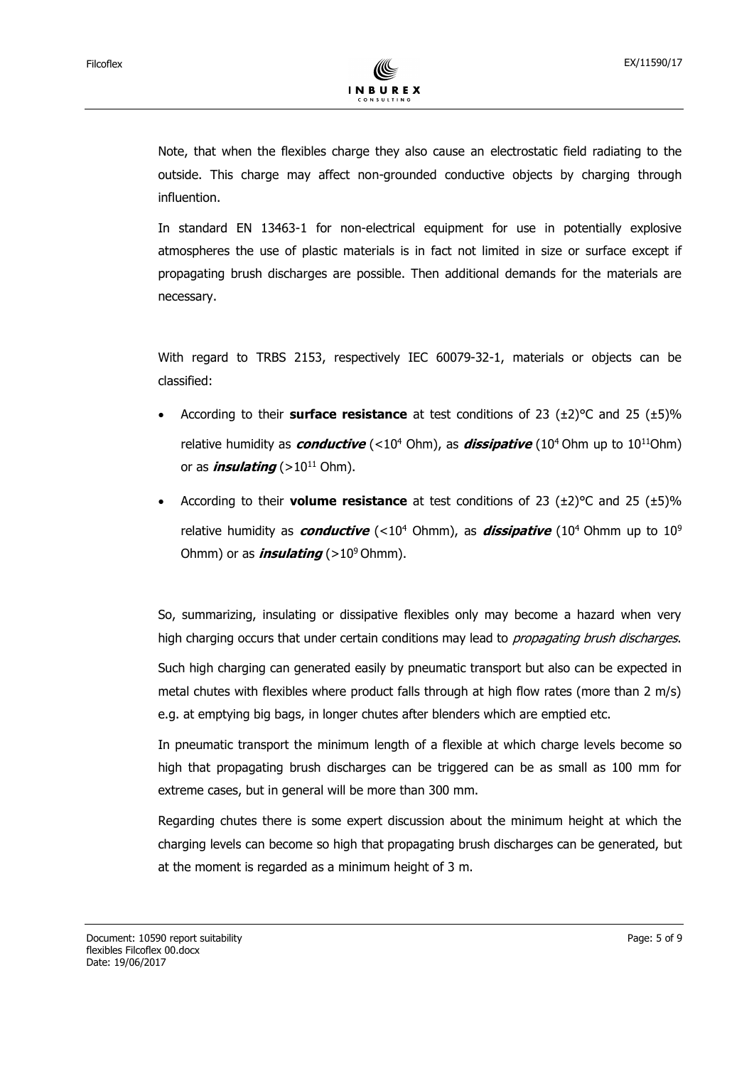Note, that when the flexibles charge they also cause an electrostatic field radiating to the outside. This charge may affect non-grounded conductive objects by charging through influention.

In standard EN 13463-1 for non-electrical equipment for use in potentially explosive atmospheres the use of plastic materials is in fact not limited in size or surface except if propagating brush discharges are possible. Then additional demands for the materials are necessary.

With regard to TRBS 2153, respectively IEC 60079-32-1, materials or objects can be classified:

- According to their **surface resistance** at test conditions of 23 (±2)°C and 25 (±5)% relative humidity as **conductive** (<10<sup>4</sup> Ohm), as **dissipative** (10<sup>4</sup> Ohm up to 10<sup>11</sup>Ohm) or as *insulating* ( $>10^{11}$  Ohm).
- According to their **volume resistance** at test conditions of 23 (±2)°C and 25 (±5)% relative humidity as **conductive** (<10<sup>4</sup> Ohmm), as **dissipative** (10<sup>4</sup> Ohmm up to 10<sup>9</sup> Ohmm) or as *insulating* ( $>10^9$  Ohmm).

So, summarizing, insulating or dissipative flexibles only may become a hazard when very high charging occurs that under certain conditions may lead to *propagating brush discharges*.

Such high charging can generated easily by pneumatic transport but also can be expected in metal chutes with flexibles where product falls through at high flow rates (more than 2 m/s) e.g. at emptying big bags, in longer chutes after blenders which are emptied etc.

In pneumatic transport the minimum length of a flexible at which charge levels become so high that propagating brush discharges can be triggered can be as small as 100 mm for extreme cases, but in general will be more than 300 mm.

Regarding chutes there is some expert discussion about the minimum height at which the charging levels can become so high that propagating brush discharges can be generated, but at the moment is regarded as a minimum height of 3 m.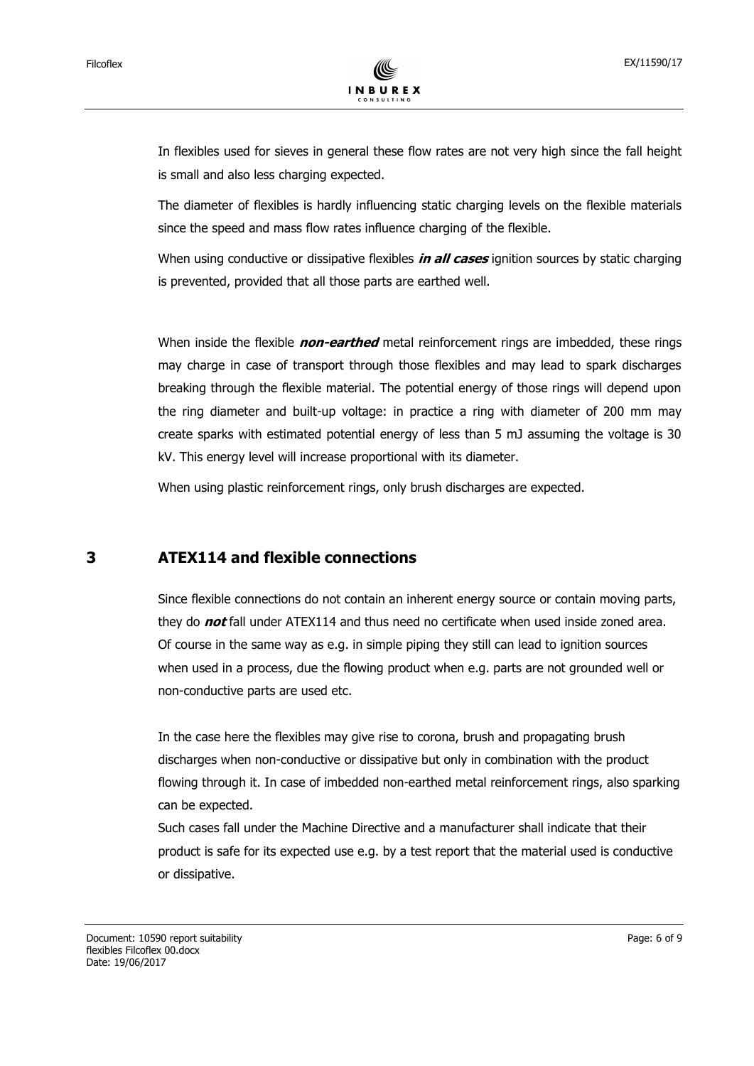In flexibles used for sieves in general these flow rates are not very high since the fall height is small and also less charging expected.

The diameter of flexibles is hardly influencing static charging levels on the flexible materials since the speed and mass flow rates influence charging of the flexible.

When using conductive or dissipative flexibles **in all cases** ignition sources by static charging is prevented, provided that all those parts are earthed well.

When inside the flexible **non-earthed** metal reinforcement rings are imbedded, these rings may charge in case of transport through those flexibles and may lead to spark discharges breaking through the flexible material. The potential energy of those rings will depend upon the ring diameter and built-up voltage: in practice a ring with diameter of 200 mm may create sparks with estimated potential energy of less than 5 mJ assuming the voltage is 30 kV. This energy level will increase proportional with its diameter.

When using plastic reinforcement rings, only brush discharges are expected.

#### <span id="page-5-0"></span>**3 ATEX114 and flexible connections**

Since flexible connections do not contain an inherent energy source or contain moving parts, they do **not** fall under ATEX114 and thus need no certificate when used inside zoned area. Of course in the same way as e.g. in simple piping they still can lead to ignition sources when used in a process, due the flowing product when e.g. parts are not grounded well or non-conductive parts are used etc.

In the case here the flexibles may give rise to corona, brush and propagating brush discharges when non-conductive or dissipative but only in combination with the product flowing through it. In case of imbedded non-earthed metal reinforcement rings, also sparking can be expected.

Such cases fall under the Machine Directive and a manufacturer shall indicate that their product is safe for its expected use e.g. by a test report that the material used is conductive or dissipative.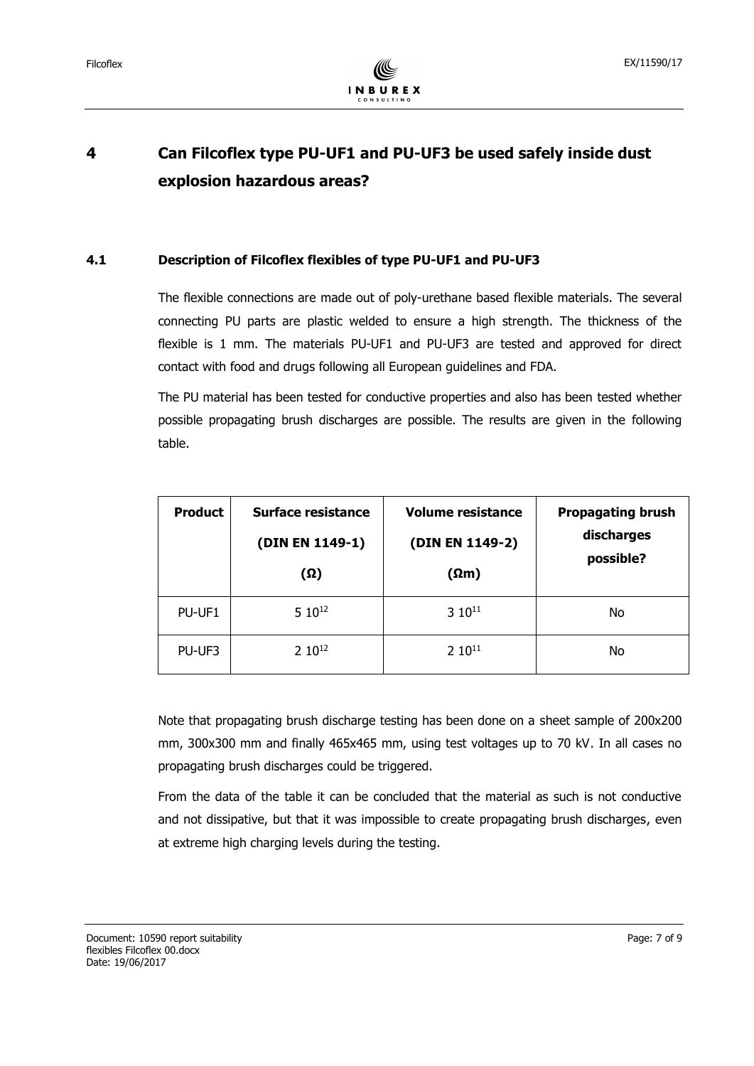

# <span id="page-6-0"></span>**4 Can Filcoflex type PU-UF1 and PU-UF3 be used safely inside dust explosion hazardous areas?**

#### <span id="page-6-1"></span>**4.1 Description of Filcoflex flexibles of type PU-UF1 and PU-UF3**

The flexible connections are made out of poly-urethane based flexible materials. The several connecting PU parts are plastic welded to ensure a high strength. The thickness of the flexible is 1 mm. The materials PU-UF1 and PU-UF3 are tested and approved for direct contact with food and drugs following all European guidelines and FDA.

The PU material has been tested for conductive properties and also has been tested whether possible propagating brush discharges are possible. The results are given in the following table.

| <b>Product</b> | Surface resistance<br>(DIN EN 1149-1)<br>(Ω) | <b>Volume resistance</b><br>(DIN EN 1149-2)<br>$(\Omega m)$ | <b>Propagating brush</b><br>discharges<br>possible? |
|----------------|----------------------------------------------|-------------------------------------------------------------|-----------------------------------------------------|
| PU-UF1         | 5 1012                                       | $3.10^{11}$                                                 | No                                                  |
| PU-UF3         | $2.10^{12}$                                  | $2 10^{11}$                                                 | No                                                  |

Note that propagating brush discharge testing has been done on a sheet sample of 200x200 mm, 300x300 mm and finally 465x465 mm, using test voltages up to 70 kV. In all cases no propagating brush discharges could be triggered.

From the data of the table it can be concluded that the material as such is not conductive and not dissipative, but that it was impossible to create propagating brush discharges, even at extreme high charging levels during the testing.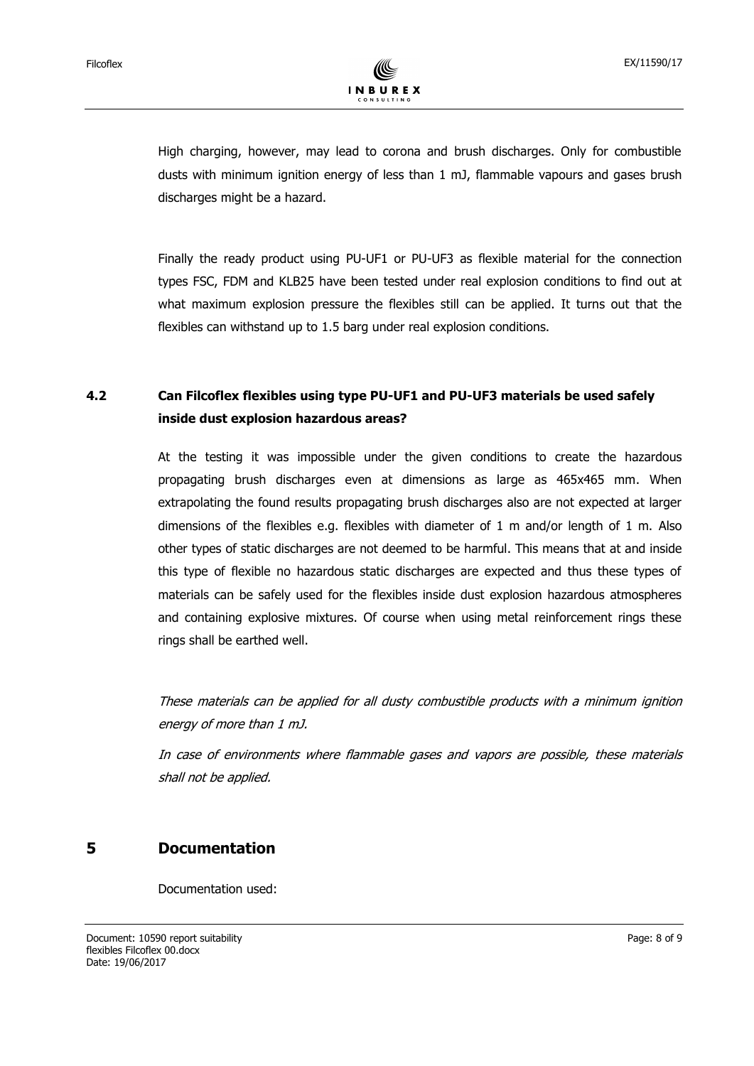High charging, however, may lead to corona and brush discharges. Only for combustible dusts with minimum ignition energy of less than 1 mJ, flammable vapours and gases brush discharges might be a hazard.

Finally the ready product using PU-UF1 or PU-UF3 as flexible material for the connection types FSC, FDM and KLB25 have been tested under real explosion conditions to find out at what maximum explosion pressure the flexibles still can be applied. It turns out that the flexibles can withstand up to 1.5 barg under real explosion conditions.

# <span id="page-7-0"></span>**4.2 Can Filcoflex flexibles using type PU-UF1 and PU-UF3 materials be used safely inside dust explosion hazardous areas?**

At the testing it was impossible under the given conditions to create the hazardous propagating brush discharges even at dimensions as large as 465x465 mm. When extrapolating the found results propagating brush discharges also are not expected at larger dimensions of the flexibles e.g. flexibles with diameter of 1 m and/or length of 1 m. Also other types of static discharges are not deemed to be harmful. This means that at and inside this type of flexible no hazardous static discharges are expected and thus these types of materials can be safely used for the flexibles inside dust explosion hazardous atmospheres and containing explosive mixtures. Of course when using metal reinforcement rings these rings shall be earthed well.

These materials can be applied for all dusty combustible products with a minimum ignition energy of more than 1 mJ.

In case of environments where flammable gases and vapors are possible, these materials shall not be applied.

## <span id="page-7-1"></span>**5 Documentation**

Documentation used: